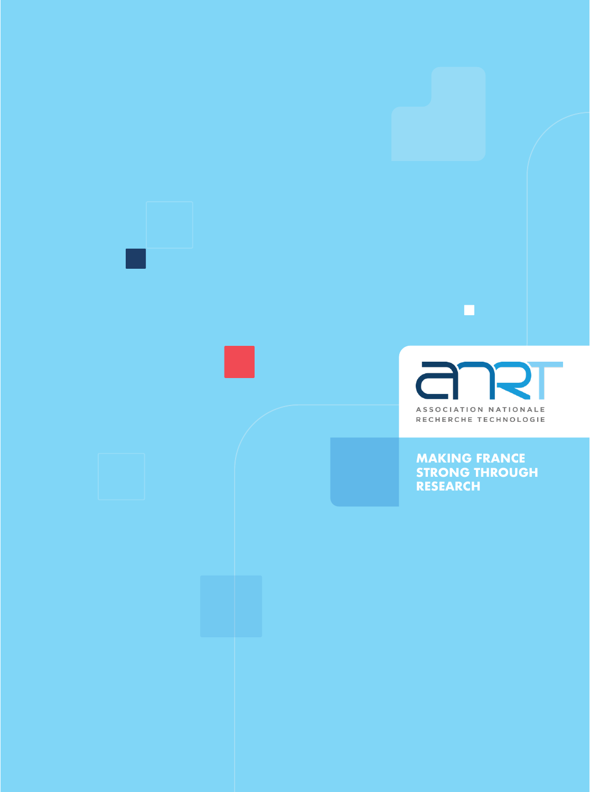

п

**MAKING FRANCE STRONG THROUGH RESEARCH**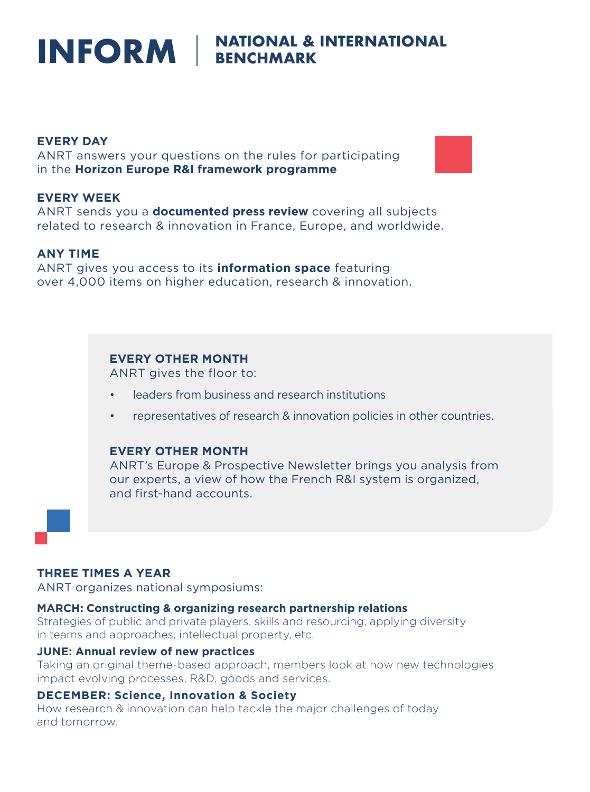# INFORM **BENCHMARK**

# **EVERY DAY**

ANRT answers your questions on the rules for participating in the **Horizon Europe R&I framework programme**

# **EVERY WEEK**

ANRT sends you a **documented press review** covering all subjects related to research & innovation in France, Europe, and worldwide.

# **ANY TIME**

ANRT gives you access to its **information space** featuring over 4,000 items on higher education, research & innovation.

# **EVERY OTHER MONTH**

ANRT gives the floor to:

- leaders from business and research institutions
- representatives of research & innovation policies in other countries.

# **EVERY OTHER MONTH**

ANRT's Europe & Prospective Newsletter brings you analysis from our experts, a view of how the French R&I system is organized, and first-hand accounts.

# **THREE TIMES A YEAR**

ANRT organizes national symposiums:

#### **MARCH: Constructing & organizing research partnership relations**

Strategies of public and private players, skills and resourcing, applying diversity in teams and approaches, intellectual property, etc.

# **JUNE: Annual review of new practices**

Taking an original theme-based approach, members look at how new technologies impact evolving processes, R&D, goods and services.

#### **DECEMBER: Science, Innovation & Society**

How research & innovation can help tackle the major challenges of today and tomorrow.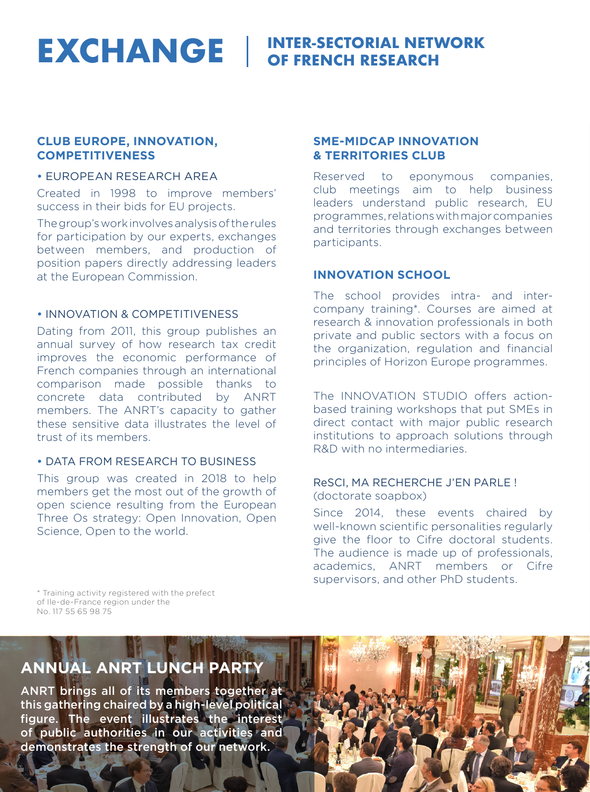**EXCHANGE** GE FRENCH RESEARCH **OF FRENCH RESEARCH** 

# **CLUB EUROPE, INNOVATION, COMPETITIVENESS**

#### • EUROPEAN RESEARCH AREA

Created in 1998 to improve members' success in their bids for EU projects.

The group's work involves analysis of the rules for participation by our experts, exchanges between members, and production of position papers directly addressing leaders at the European Commission.

# • INNOVATION & COMPETITIVENESS

Dating from 2011, this group publishes an annual survey of how research tax credit improves the economic performance of French companies through an international comparison made possible thanks to concrete data contributed by ANRT members. The ANRT's capacity to gather these sensitive data illustrates the level of trust of its members.

# • DATA FROM RESEARCH TO BUSINESS

This group was created in 2018 to help members get the most out of the growth of open science resulting from the European Three Os strategy: Open Innovation, Open Science, Open to the world.

# **SME-MIDCAP INNOVATION & TERRITORIES CLUB**

Reserved to eponymous companies, club meetings aim to help business leaders understand public research, EU programmes, relations with major companies and territories through exchanges between participants.

# **INNOVATION SCHOOL**

The school provides intra- and intercompany training\*. Courses are aimed at research & innovation professionals in both private and public sectors with a focus on the organization, regulation and financial principles of Horizon Europe programmes.

The INNOVATION STUDIO offers actionbased training workshops that put SMEs in direct contact with major public research institutions to approach solutions through R&D with no intermediaries.

#### ReSCI, MA RECHERCHE J'EN PARLE ! (doctorate soapbox)

Since 2014, these events chaired by well-known scientific personalities regularly give the floor to Cifre doctoral students. The audience is made up of professionals, academics, ANRT members or Cifre supervisors, and other PhD students.

\* Training activity registered with the prefect of Ile-de-France region under the No. 117 55 65 98 75

# **ANNUAL ANRT LUNCH PARTY**

ANRT brings all of its members together at this gathering chaired by a high-level political figure. The event illustrates the interest of public authorities in our activities and demonstrates the strength of our network.

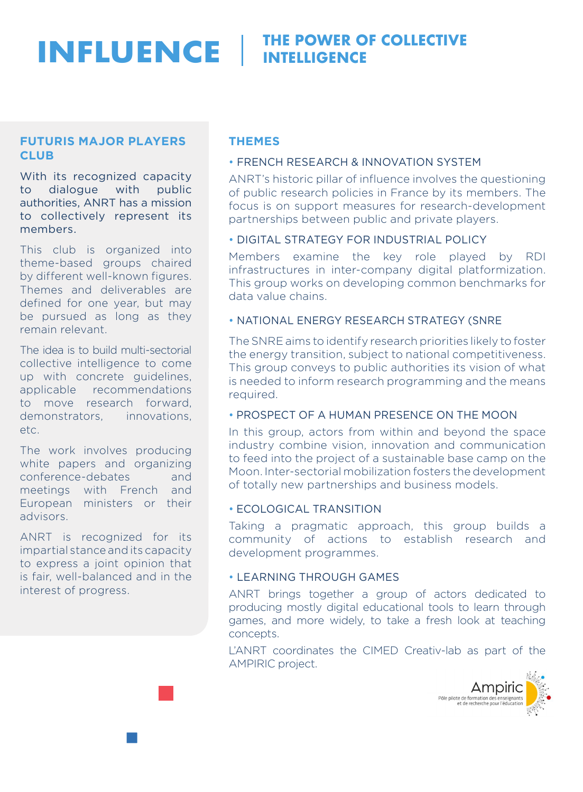#### **INFLUENCE THE POWER OF COLLECTIVE INTELLIGENCE**

# **FUTURIS MAJOR PLAYERS CLUB**

With its recognized capacity to dialogue with public authorities, ANRT has a mission to collectively represent its members.

This club is organized into theme-based groups chaired by different well-known figures. Themes and deliverables are defined for one year, but may be pursued as long as they remain relevant.

The idea is to build multi-sectorial collective intelligence to come up with concrete guidelines, applicable recommendations to move research forward, demonstrators, innovations, etc.

The work involves producing white papers and organizing conference-debates and meetings with French and European ministers or their advisors.

ANRT is recognized for its impartial stance and its capacity to express a joint opinion that is fair, well-balanced and in the interest of progress.

# **THEMES**

# • FRENCH RESEARCH & INNOVATION SYSTEM

ANRT's historic pillar of influence involves the questioning of public research policies in France by its members. The focus is on support measures for research-development partnerships between public and private players.

## • DIGITAL STRATEGY FOR INDUSTRIAL POLICY

Members examine the key role played by RDI infrastructures in inter-company digital platformization. This group works on developing common benchmarks for data value chains.

# • NATIONAL ENERGY RESEARCH STRATEGY (SNRE

The SNRE aims to identify research priorities likely to foster the energy transition, subject to national competitiveness. This group conveys to public authorities its vision of what is needed to inform research programming and the means required.

# • PROSPECT OF A HUMAN PRESENCE ON THE MOON

In this group, actors from within and beyond the space industry combine vision, innovation and communication to feed into the project of a sustainable base camp on the Moon. Inter-sectorial mobilization fosters the development of totally new partnerships and business models.

## • ECOLOGICAL TRANSITION

Taking a pragmatic approach, this group builds a community of actions to establish research and development programmes.

# • LEARNING THROUGH GAMES

ANRT brings together a group of actors dedicated to producing mostly digital educational tools to learn through games, and more widely, to take a fresh look at teaching concepts.

L'ANRT coordinates the CIMED Creativ-lab as part of the AMPIRIC project.

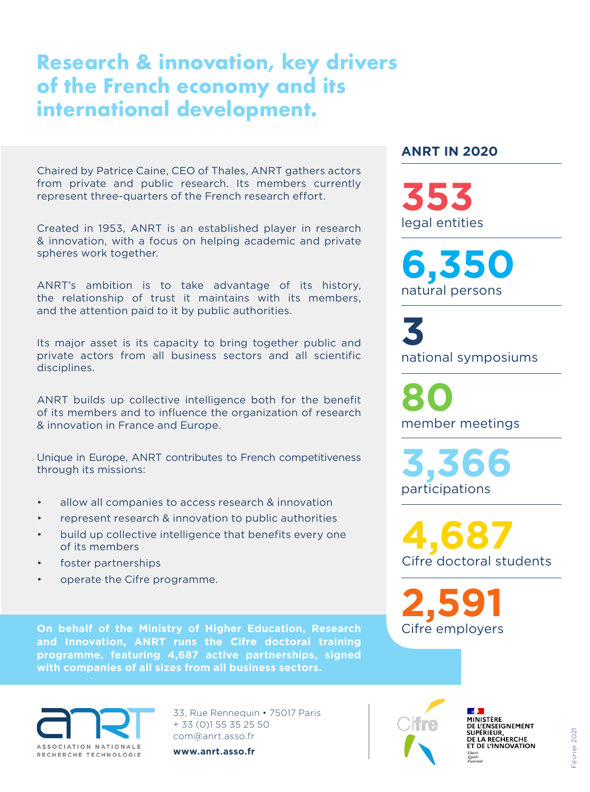# **Research & innovation, key drivers of the French economy and its international development.**

Chaired by Patrice Caine, CEO of Thales, ANRT gathers actors from private and public research. Its members currently represent three-quarters of the French research effort.

Created in 1953, ANRT is an established player in research & innovation, with a focus on helping academic and private spheres work together.

ANRT's ambition is to take advantage of its history, the relationship of trust it maintains with its members, and the attention paid to it by public authorities.

Its major asset is its capacity to bring together public and private actors from all business sectors and all scientific disciplines.

ANRT builds up collective intelligence both for the benefit of its members and to influence the organization of research & innovation in France and Europe.

Unique in Europe, ANRT contributes to French competitiveness through its missions:

- allow all companies to access research & innovation
- represent research & innovation to public authorities
- build up collective intelligence that benefits every one of its members
- foster partnerships
- operate the Cifre programme.

**On behalf of the Ministry of Higher Education, Research and Innovation, ANRT runs the Cifre doctoral training programme, featuring 4,687 active partnerships, signed with companies of all sizes from all business sectors.** 



33, Rue Rennequin • 75017 Paris + 33 (0)1 55 35 25 50 com@anrt.asso.fr

**www.anrt.asso.fr**

# **ANRT IN 2020**

legal entities **353**

natural persons **6,350**

national symposiums **3** 

member meetings **80** 

participations **3,366** 

Cifre doctoral students **4,687**

Cifre employers **2,591**



**Contract MINISTÈRE MINISTERE<br>DE L'ENSEIGNEMENT<br>SUPÉRIEUR,<br>DE LA RECHERCHE<br>ET DE L'INNOVATION**